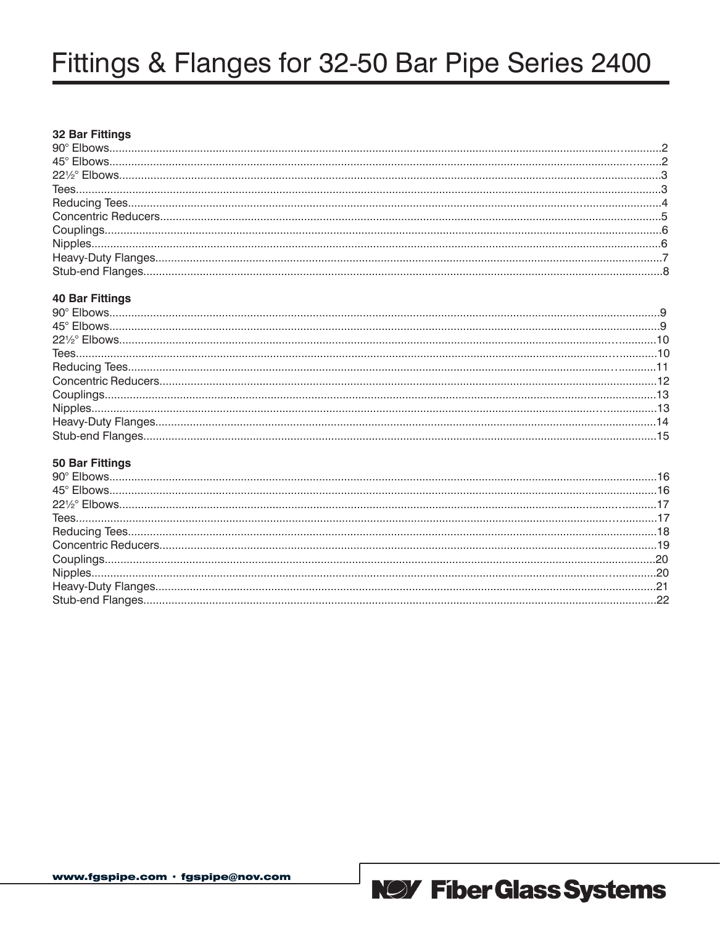# Fittings & Flanges for 32-50 Bar Pipe Series 2400

#### **32 Bar Fittings**

#### **40 Bar Fittings**

#### **50 Bar Fittings**

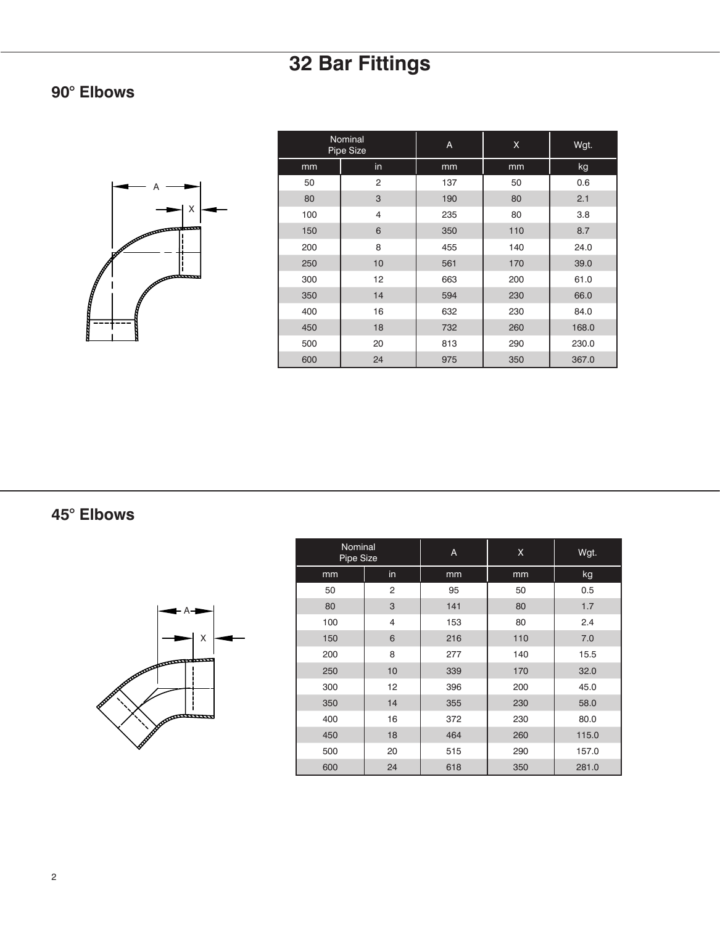### **90° Elbows**



| Nominal<br>Pipe Size |                | Α   | Χ   | Wgt.  |
|----------------------|----------------|-----|-----|-------|
| mm                   | in             | mm  | mm  | kg    |
| 50                   | $\overline{2}$ | 137 | 50  | 0.6   |
| 80                   | 3              | 190 | 80  | 2.1   |
| 100                  | $\overline{4}$ | 235 | 80  | 3.8   |
| 150                  | 6              | 350 | 110 | 8.7   |
| 200                  | 8              | 455 | 140 | 24.0  |
| 250                  | 10             | 561 | 170 | 39.0  |
| 300                  | 12             | 663 | 200 | 61.0  |
| 350                  | 14             | 594 | 230 | 66.0  |
| 400                  | 16             | 632 | 230 | 84.0  |
| 450                  | 18             | 732 | 260 | 168.0 |
| 500                  | 20             | 813 | 290 | 230.0 |
| 600                  | 24             | 975 | 350 | 367.0 |

**45° Elbows**



| Nominal<br>Pipe Size |                | A   | X   | Wgt.  |
|----------------------|----------------|-----|-----|-------|
| mm                   | in             | mm  | mm  | kg    |
| 50                   | $\overline{2}$ | 95  | 50  | 0.5   |
| 80                   | 3              | 141 | 80  | 1.7   |
| 100                  | $\overline{4}$ | 153 | 80  | 2.4   |
| 150                  | 6              | 216 | 110 | 7.0   |
| 200                  | 8              | 277 | 140 | 15.5  |
| 250                  | 10             | 339 | 170 | 32.0  |
| 300                  | 12             | 396 | 200 | 45.0  |
| 350                  | 14             | 355 | 230 | 58.0  |
| 400                  | 16             | 372 | 230 | 80.0  |
| 450                  | 18             | 464 | 260 | 115.0 |
| 500                  | 20             | 515 | 290 | 157.0 |
| 600                  | 24             | 618 | 350 | 281.0 |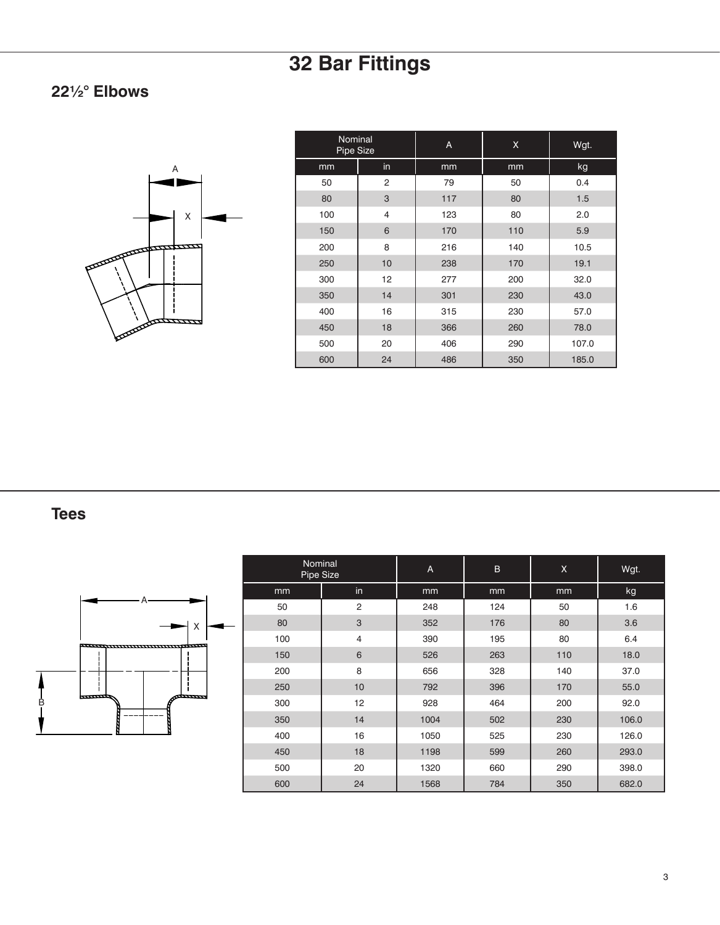### **22½° Elbows**



| Nominal<br>Pipe Size |    | A   | X   | Wgt.  |
|----------------------|----|-----|-----|-------|
| mm                   | in | mm  | mm  | kg    |
| 50                   | 2  | 79  | 50  | 0.4   |
| 80                   | 3  | 117 | 80  | 1.5   |
| 100                  | 4  | 123 | 80  | 2.0   |
| 150                  | 6  | 170 | 110 | 5.9   |
| 200                  | 8  | 216 | 140 | 10.5  |
| 250                  | 10 | 238 | 170 | 19.1  |
| 300                  | 12 | 277 | 200 | 32.0  |
| 350                  | 14 | 301 | 230 | 43.0  |
| 400                  | 16 | 315 | 230 | 57.0  |
| 450                  | 18 | 366 | 260 | 78.0  |
| 500                  | 20 | 406 | 290 | 107.0 |
| 600                  | 24 | 486 | 350 | 185.0 |

**Tees**



| Nominal<br>Pipe Size |                | $\overline{A}$ | B   | X   | Wgt.  |
|----------------------|----------------|----------------|-----|-----|-------|
| mm                   | in.            | mm             | mm  | mm  | kg    |
| 50                   | $\overline{2}$ | 248            | 124 | 50  | 1.6   |
| 80                   | 3              | 352            | 176 | 80  | 3.6   |
| 100                  | $\overline{4}$ | 390            | 195 | 80  | 6.4   |
| 150                  | 6              | 526            | 263 | 110 | 18.0  |
| 200                  | 8              | 656            | 328 | 140 | 37.0  |
| 250                  | 10             | 792            | 396 | 170 | 55.0  |
| 300                  | 12             | 928            | 464 | 200 | 92.0  |
| 350                  | 14             | 1004           | 502 | 230 | 106.0 |
| 400                  | 16             | 1050           | 525 | 230 | 126.0 |
| 450                  | 18             | 1198           | 599 | 260 | 293.0 |
| 500                  | 20             | 1320           | 660 | 290 | 398.0 |
| 600                  | 24             | 1568           | 784 | 350 | 682.0 |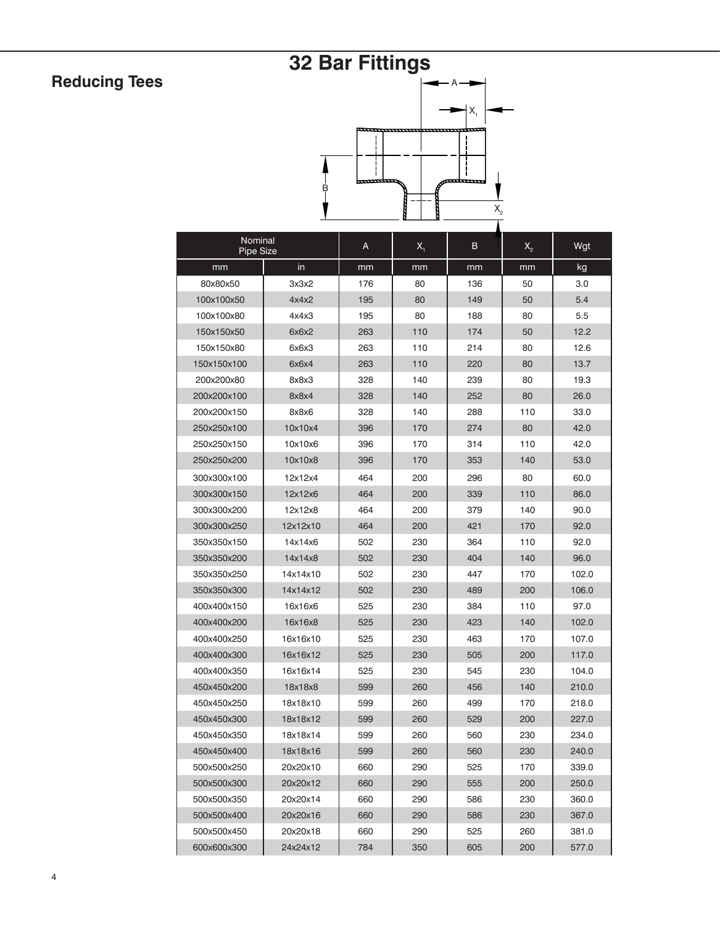## **Reducing Tees**

# **32 Bar Fittings**



| Nominal<br><b>Pipe Size</b> |          | A   | $X_{1}$ | в   | $X_{2}$ | Wgt   |
|-----------------------------|----------|-----|---------|-----|---------|-------|
| mm                          | in       | mm  | mm      | mm  | mm      | kg    |
| 80x80x50                    | 3x3x2    | 176 | 80      | 136 | 50      | 3.0   |
| 100x100x50                  | 4x4x2    | 195 | 80      | 149 | 50      | 5.4   |
| 100x100x80                  | 4x4x3    | 195 | 80      | 188 | 80      | 5.5   |
| 150x150x50                  | 6x6x2    | 263 | 110     | 174 | 50      | 12.2  |
| 150x150x80                  | 6x6x3    | 263 | 110     | 214 | 80      | 12.6  |
| 150x150x100                 | 6x6x4    | 263 | 110     | 220 | 80      | 13.7  |
| 200x200x80                  | 8x8x3    | 328 | 140     | 239 | 80      | 19.3  |
| 200x200x100                 | 8x8x4    | 328 | 140     | 252 | 80      | 26.0  |
| 200x200x150                 | 8x8x6    | 328 | 140     | 288 | 110     | 33.0  |
| 250x250x100                 | 10x10x4  | 396 | 170     | 274 | 80      | 42.0  |
| 250x250x150                 | 10x10x6  | 396 | 170     | 314 | 110     | 42.0  |
| 250x250x200                 | 10x10x8  | 396 | 170     | 353 | 140     | 53.0  |
| 300x300x100                 | 12x12x4  | 464 | 200     | 296 | 80      | 60.0  |
| 300x300x150                 | 12x12x6  | 464 | 200     | 339 | 110     | 86.0  |
| 300x300x200                 | 12x12x8  | 464 | 200     | 379 | 140     | 90.0  |
| 300x300x250                 | 12x12x10 | 464 | 200     | 421 | 170     | 92.0  |
| 350x350x150                 | 14x14x6  | 502 | 230     | 364 | 110     | 92.0  |
| 350x350x200                 | 14x14x8  | 502 | 230     | 404 | 140     | 96.0  |
| 350x350x250                 | 14x14x10 | 502 | 230     | 447 | 170     | 102.0 |
| 350x350x300                 | 14x14x12 | 502 | 230     | 489 | 200     | 106.0 |
| 400x400x150                 | 16x16x6  | 525 | 230     | 384 | 110     | 97.0  |
| 400x400x200                 | 16x16x8  | 525 | 230     | 423 | 140     | 102.0 |
| 400x400x250                 | 16x16x10 | 525 | 230     | 463 | 170     | 107.0 |
| 400x400x300                 | 16x16x12 | 525 | 230     | 505 | 200     | 117.0 |
| 400x400x350                 | 16x16x14 | 525 | 230     | 545 | 230     | 104.0 |
| 450x450x200                 | 18x18x8  | 599 | 260     | 456 | 140     | 210.0 |
| 450x450x250                 | 18x18x10 | 599 | 260     | 499 | 170     | 218.0 |
| 450x450x300                 | 18x18x12 | 599 | 260     | 529 | 200     | 227.0 |
| 450x450x350                 | 18x18x14 | 599 | 260     | 560 | 230     | 234.0 |
| 450x450x400                 | 18x18x16 | 599 | 260     | 560 | 230     | 240.0 |
| 500x500x250                 | 20x20x10 | 660 | 290     | 525 | 170     | 339.0 |
| 500x500x300                 | 20x20x12 | 660 | 290     | 555 | 200     | 250.0 |
| 500x500x350                 | 20x20x14 | 660 | 290     | 586 | 230     | 360.0 |
| 500x500x400                 | 20x20x16 | 660 | 290     | 586 | 230     | 367.0 |
| 500x500x450                 | 20x20x18 | 660 | 290     | 525 | 260     | 381.0 |
| 600x600x300                 | 24x24x12 | 784 | 350     | 605 | 200     | 577.0 |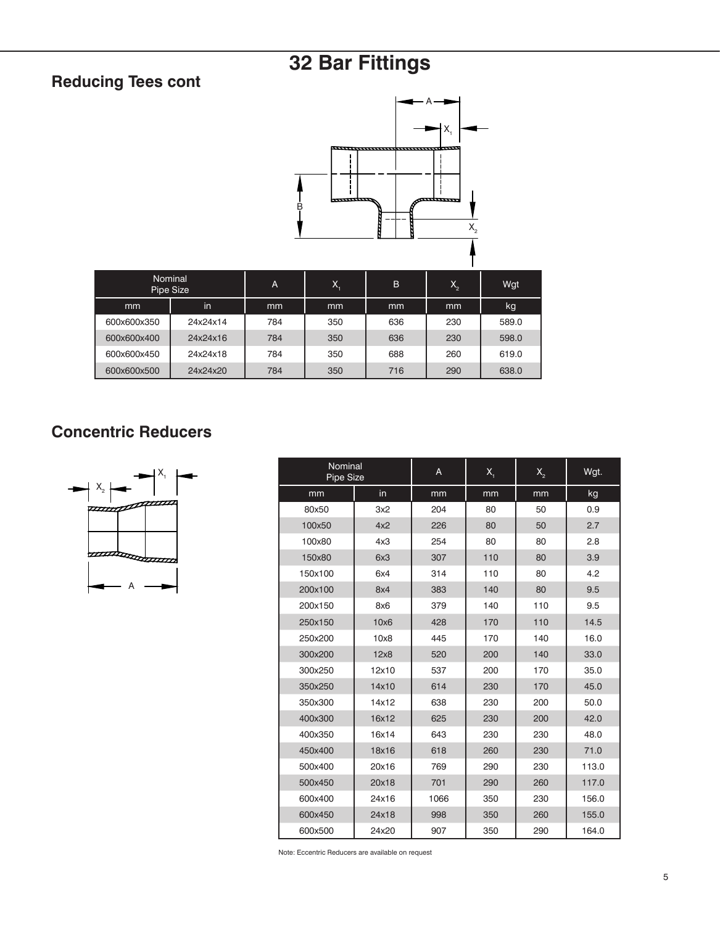### **Reducing Tees cont**



|             | Nominal<br>Pipe Size | A   | Х.  | B   | $X_{2}$ | Wgt   |
|-------------|----------------------|-----|-----|-----|---------|-------|
| mm          | in                   | mm  | mm  | mm  | mm      | kg    |
| 600x600x350 | 24x24x14             | 784 | 350 | 636 | 230     | 589.0 |
| 600x600x400 | 24x24x16             | 784 | 350 | 636 | 230     | 598.0 |
| 600x600x450 | 24x24x18             | 784 | 350 | 688 | 260     | 619.0 |
| 600x600x500 | 24x24x20             | 784 | 350 | 716 | 290     | 638.0 |

### **Concentric Reducers**



| Nominal<br><b>Pipe Size</b> |       | A    | $X_{1}$ | $\mathsf{X}_{\scriptscriptstyle{2}}$ | Wgt.  |
|-----------------------------|-------|------|---------|--------------------------------------|-------|
| mm                          | in    | mm   | mm      | mm                                   | kg    |
| 80x50                       | 3x2   | 204  | 80      | 50                                   | 0.9   |
| 100x50                      | 4x2   | 226  | 80      | 50                                   | 2.7   |
| 100x80                      | 4x3   | 254  | 80      | 80                                   | 2.8   |
| 150x80                      | 6x3   | 307  | 110     | 80                                   | 3.9   |
| 150x100                     | 6x4   | 314  | 110     | 80                                   | 4.2   |
| 200x100                     | 8x4   | 383  | 140     | 80                                   | 9.5   |
| 200x150                     | 8x6   | 379  | 140     | 110                                  | 9.5   |
| 250x150                     | 10x6  | 428  | 170     | 110                                  | 14.5  |
| 250x200                     | 10x8  | 445  | 170     | 140                                  | 16.0  |
| 300x200                     | 12x8  | 520  | 200     | 140                                  | 33.0  |
| 300x250                     | 12x10 | 537  | 200     | 170                                  | 35.0  |
| 350x250                     | 14x10 | 614  | 230     | 170                                  | 45.0  |
| 350x300                     | 14x12 | 638  | 230     | 200                                  | 50.0  |
| 400x300                     | 16x12 | 625  | 230     | 200                                  | 42.0  |
| 400x350                     | 16x14 | 643  | 230     | 230                                  | 48.0  |
| 450x400                     | 18x16 | 618  | 260     | 230                                  | 71.0  |
| 500x400                     | 20x16 | 769  | 290     | 230                                  | 113.0 |
| 500x450                     | 20x18 | 701  | 290     | 260                                  | 117.0 |
| 600x400                     | 24x16 | 1066 | 350     | 230                                  | 156.0 |
| 600x450                     | 24x18 | 998  | 350     | 260                                  | 155.0 |
| 600x500                     | 24x20 | 907  | 350     | 290                                  | 164.0 |

Note: Eccentric Reducers are available on request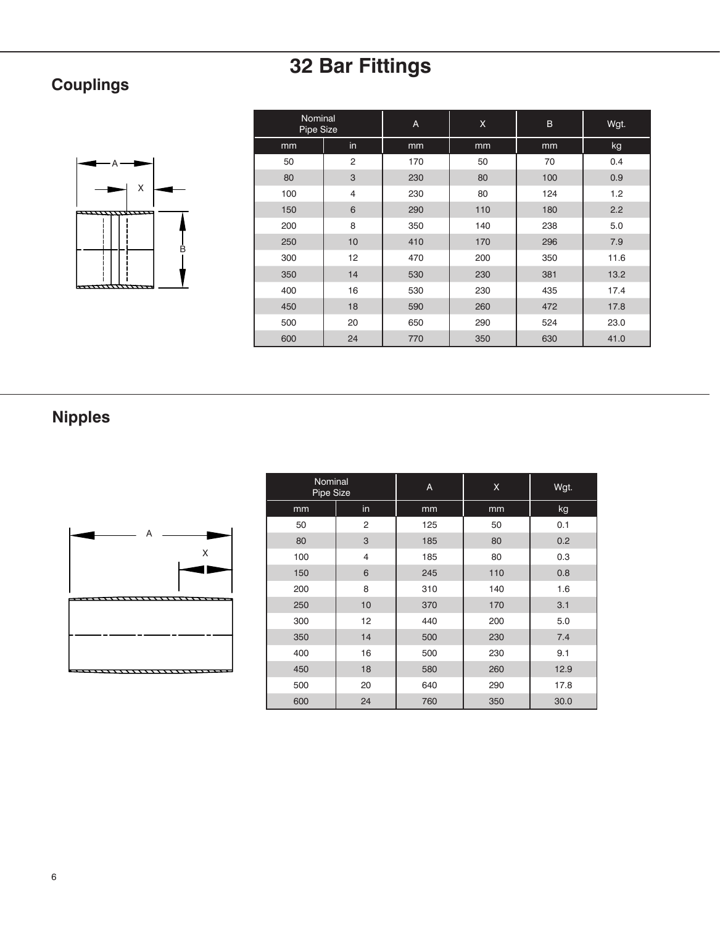## **Couplings**



| Nominal<br>Pipe Size |                | A   | $\mathsf{X}$ | $\mathsf B$ | Wgt. |
|----------------------|----------------|-----|--------------|-------------|------|
| mm                   | in             | mm  | mm           | mm          | kg   |
| 50                   | $\overline{2}$ | 170 | 50           | 70          | 0.4  |
| 80                   | 3              | 230 | 80           | 100         | 0.9  |
| 100                  | $\overline{4}$ | 230 | 80           | 124         | 1.2  |
| 150                  | 6              | 290 | 110          | 180         | 2.2  |
| 200                  | 8              | 350 | 140          | 238         | 5.0  |
| 250                  | 10             | 410 | 170          | 296         | 7.9  |
| 300                  | 12             | 470 | 200          | 350         | 11.6 |
| 350                  | 14             | 530 | 230          | 381         | 13.2 |
| 400                  | 16             | 530 | 230          | 435         | 17.4 |
| 450                  | 18             | 590 | 260          | 472         | 17.8 |
| 500                  | 20             | 650 | 290          | 524         | 23.0 |
| 600                  | 24             | 770 | 350          | 630         | 41.0 |

## **Nipples**



| Nominal<br>Pipe Size |                | A   | X   | Wgt. |
|----------------------|----------------|-----|-----|------|
| mm                   | in             | mm  | mm  | kg   |
| 50                   | $\overline{2}$ | 125 | 50  | 0.1  |
| 80                   | 3              | 185 | 80  | 0.2  |
| 100                  | $\overline{4}$ | 185 | 80  | 0.3  |
| 150                  | 6              | 245 | 110 | 0.8  |
| 200                  | 8              | 310 | 140 | 1.6  |
| 250                  | 10             | 370 | 170 | 3.1  |
| 300                  | 12             | 440 | 200 | 5.0  |
| 350                  | 14             | 500 | 230 | 7.4  |
| 400                  | 16             | 500 | 230 | 9.1  |
| 450                  | 18             | 580 | 260 | 12.9 |
| 500                  | 20             | 640 | 290 | 17.8 |
| 600                  | 24             | 760 | 350 | 30.0 |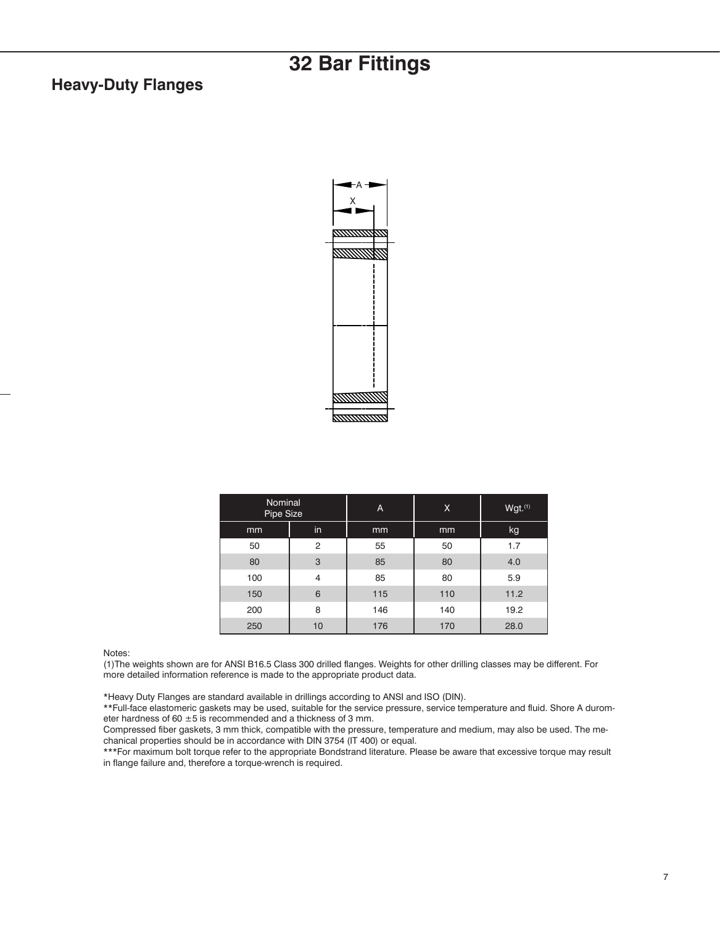#### **Heavy-Duty Flanges**



| <b>Nominal</b><br>Pipe Size |    | A   | X   | Wgt.(1) |
|-----------------------------|----|-----|-----|---------|
| mm                          | in | mm  | mm  | kg      |
| 50                          | 2  | 55  | 50  | 1.7     |
| 80                          | 3  | 85  | 80  | 4.0     |
| 100                         | 4  | 85  | 80  | 5.9     |
| 150                         | 6  | 115 | 110 | 11.2    |
| 200                         | 8  | 146 | 140 | 19.2    |
| 250                         | 10 | 176 | 170 | 28.0    |

Notes:

(1)The weights shown are for ANSI B16.5 Class 300 drilled flanges. Weights for other drilling classes may be different. For more detailed information reference is made to the appropriate product data.

\*Heavy Duty Flanges are standard available in drillings according to ANSI and ISO (DIN).

\*\*Full-face elastomeric gaskets may be used, suitable for the service pressure, service temperature and fluid. Shore A durometer hardness of 60  $\pm$ 5 is recommended and a thickness of 3 mm.

Compressed fiber gaskets, 3 mm thick, compatible with the pressure, temperature and medium, may also be used. The mechanical properties should be in accordance with DIN 3754 (IT 400) or equal.

\*\*\*For maximum bolt torque refer to the appropriate Bondstrand literature. Please be aware that excessive torque may result in flange failure and, therefore a torque-wrench is required.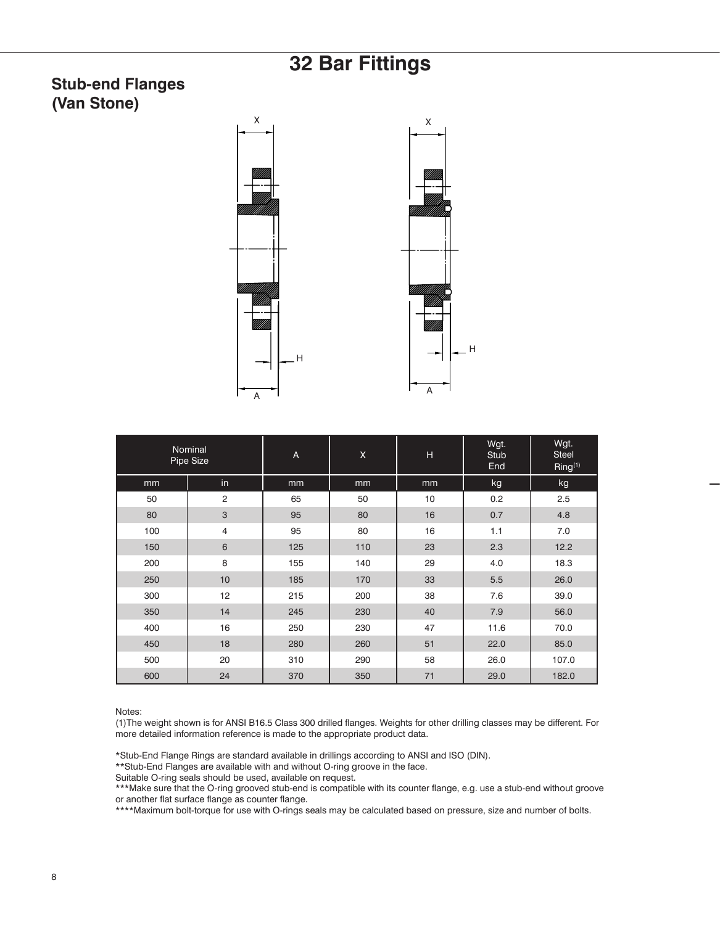#### **Stub-end Flanges (Van Stone)**





| Nominal<br>Pipe Size |                | A   | Χ   | н  | Wgt.<br>Stub<br>End | Wgt.<br><b>Steel</b><br>Ring <sup>(1)</sup> |
|----------------------|----------------|-----|-----|----|---------------------|---------------------------------------------|
| mm                   | in             | mm  | mm  | mm | kg                  | kg                                          |
| 50                   | $\overline{2}$ | 65  | 50  | 10 | 0.2                 | 2.5                                         |
| 80                   | 3              | 95  | 80  | 16 | 0.7                 | 4.8                                         |
| 100                  | $\overline{4}$ | 95  | 80  | 16 | 1.1                 | 7.0                                         |
| 150                  | 6              | 125 | 110 | 23 | 2.3                 | 12.2                                        |
| 200                  | 8              | 155 | 140 | 29 | 4.0                 | 18.3                                        |
| 250                  | 10             | 185 | 170 | 33 | 5.5                 | 26.0                                        |
| 300                  | 12             | 215 | 200 | 38 | 7.6                 | 39.0                                        |
| 350                  | 14             | 245 | 230 | 40 | 7.9                 | 56.0                                        |
| 400                  | 16             | 250 | 230 | 47 | 11.6                | 70.0                                        |
| 450                  | 18             | 280 | 260 | 51 | 22.0                | 85.0                                        |
| 500                  | 20             | 310 | 290 | 58 | 26.0                | 107.0                                       |
| 600                  | 24             | 370 | 350 | 71 | 29.0                | 182.0                                       |

Notes:

(1)The weight shown is for ANSI B16.5 Class 300 drilled flanges. Weights for other drilling classes may be different. For more detailed information reference is made to the appropriate product data.

\*Stub-End Flange Rings are standard available in drillings according to ANSI and ISO (DIN).

\*\*Stub-End Flanges are available with and without O-ring groove in the face.

Suitable O-ring seals should be used, available on request.

\*\*\*Make sure that the O-ring grooved stub-end is compatible with its counter flange, e.g. use a stub-end without groove or another flat surface flange as counter flange.

\*\*\*\*Maximum bolt-torque for use with O-rings seals may be calculated based on pressure, size and number of bolts.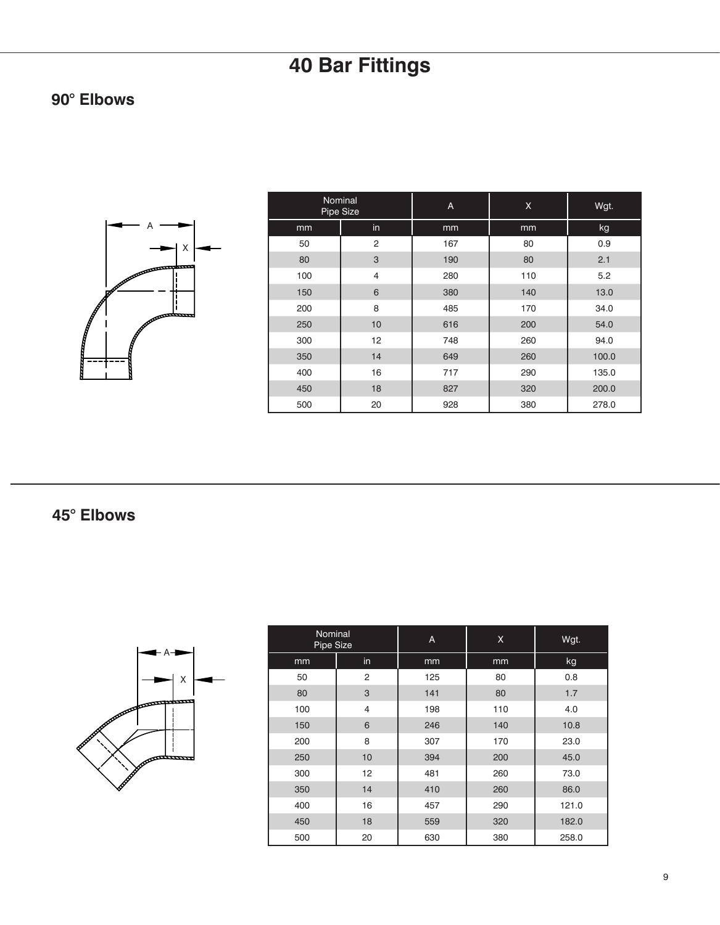### **90° Elbows**



| Nominal<br>Pipe Size |                | A   | X   | Wgt.  |
|----------------------|----------------|-----|-----|-------|
| mm                   | in             | mm  | mm  | kg    |
| 50                   | $\overline{2}$ | 167 | 80  | 0.9   |
| 80                   | 3              | 190 | 80  | 2.1   |
| 100                  | $\overline{4}$ | 280 | 110 | 5.2   |
| 150                  | 6              | 380 | 140 | 13.0  |
| 200                  | 8              | 485 | 170 | 34.0  |
| 250                  | 10             | 616 | 200 | 54.0  |
| 300                  | 12             | 748 | 260 | 94.0  |
| 350                  | 14             | 649 | 260 | 100.0 |
| 400                  | 16             | 717 | 290 | 135.0 |
| 450                  | 18             | 827 | 320 | 200.0 |
| 500                  | 20             | 928 | 380 | 278.0 |

**45° Elbows**



| Nominal<br>Pipe Size |                | A   | X.  | Wgt.  |
|----------------------|----------------|-----|-----|-------|
| mm                   | in             | mm  | mm  | kg    |
| 50                   | $\overline{2}$ | 125 | 80  | 0.8   |
| 80                   | 3              | 141 | 80  | 1.7   |
| 100                  | $\overline{4}$ | 198 | 110 | 4.0   |
| 150                  | 6              | 246 | 140 | 10.8  |
| 200                  | 8              | 307 | 170 | 23.0  |
| 250                  | 10             | 394 | 200 | 45.0  |
| 300                  | 12             | 481 | 260 | 73.0  |
| 350                  | 14             | 410 | 260 | 86.0  |
| 400                  | 16             | 457 | 290 | 121.0 |
| 450                  | 18             | 559 | 320 | 182.0 |
| 500                  | 20             | 630 | 380 | 258.0 |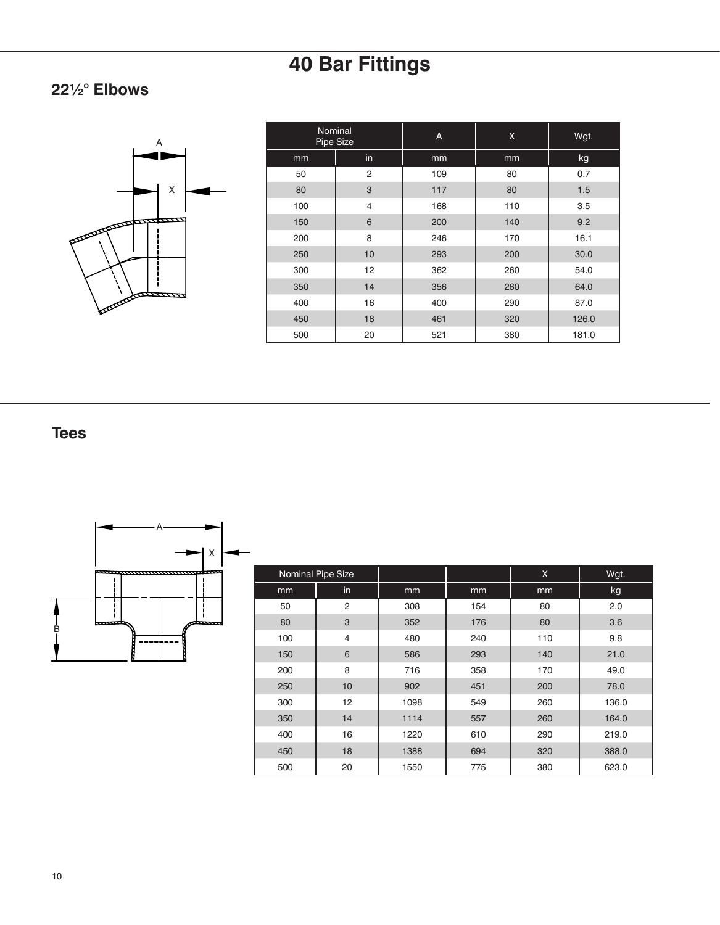### **22½° Elbows**



| Nominal<br>Pipe Size |                | A   | X   | Wgt.  |
|----------------------|----------------|-----|-----|-------|
| mm                   | in             | mm  | mm  | kg    |
| 50                   | $\overline{2}$ | 109 | 80  | 0.7   |
| 80                   | 3              | 117 | 80  | 1.5   |
| 100                  | $\overline{4}$ | 168 | 110 | 3.5   |
| 150                  | 6              | 200 | 140 | 9.2   |
| 200                  | 8              | 246 | 170 | 16.1  |
| 250                  | 10             | 293 | 200 | 30.0  |
| 300                  | 12             | 362 | 260 | 54.0  |
| 350                  | 14             | 356 | 260 | 64.0  |
| 400                  | 16             | 400 | 290 | 87.0  |
| 450                  | 18             | 461 | 320 | 126.0 |
| 500                  | 20             | 521 | 380 | 181.0 |

### **Tees**



|     | Nominal Pipe Size |      |     | $\mathsf{x}$ | Wgt.  |
|-----|-------------------|------|-----|--------------|-------|
| mm  | in                | mm   | mm  | mm           | kg    |
| 50  | $\overline{2}$    | 308  | 154 | 80           | 2.0   |
| 80  | 3                 | 352  | 176 | 80           | 3.6   |
| 100 | $\overline{4}$    | 480  | 240 | 110          | 9.8   |
| 150 | 6                 | 586  | 293 | 140          | 21.0  |
| 200 | 8                 | 716  | 358 | 170          | 49.0  |
| 250 | 10                | 902  | 451 | 200          | 78.0  |
| 300 | 12                | 1098 | 549 | 260          | 136.0 |
| 350 | 14                | 1114 | 557 | 260          | 164.0 |
| 400 | 16                | 1220 | 610 | 290          | 219.0 |
| 450 | 18                | 1388 | 694 | 320          | 388.0 |
| 500 | 20                | 1550 | 775 | 380          | 623.0 |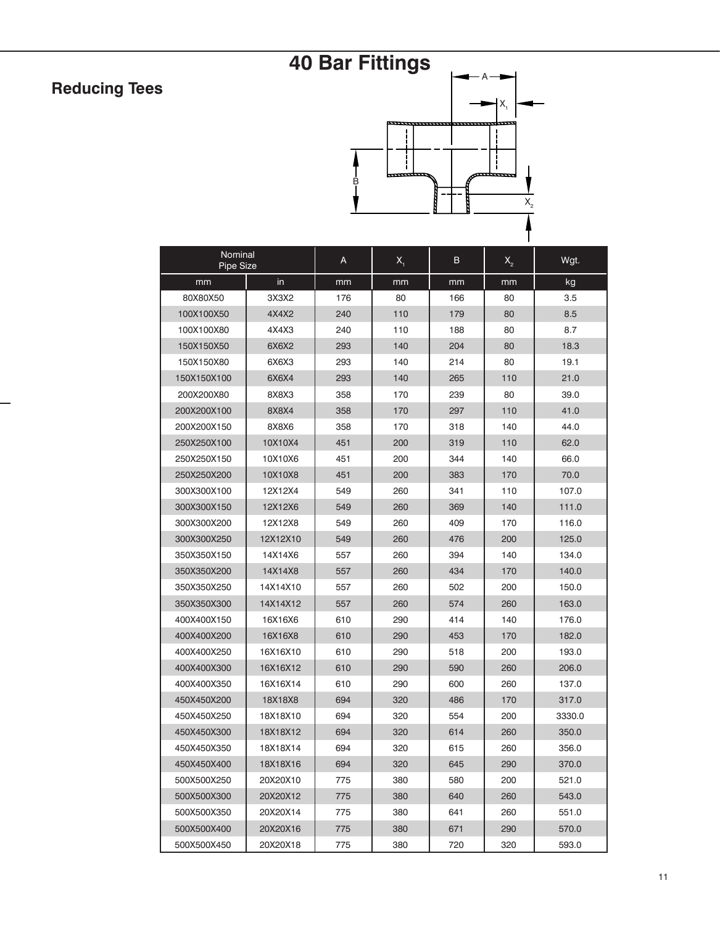## **Reducing Tees**

## **40 Bar Fittings**



| Nominal<br>Pipe Size |          | A   | $X_{1}$ | в   | $X_{2}$ | Wgt.   |
|----------------------|----------|-----|---------|-----|---------|--------|
| mm                   | in       | mm  | mm      | mm  | mm      | kg     |
| 80X80X50             | 3X3X2    | 176 | 80      | 166 | 80      | 3.5    |
| 100X100X50           | 4X4X2    | 240 | 110     | 179 | 80      | 8.5    |
| 100X100X80           | 4X4X3    | 240 | 110     | 188 | 80      | 8.7    |
| 150X150X50           | 6X6X2    | 293 | 140     | 204 | 80      | 18.3   |
| 150X150X80           | 6X6X3    | 293 | 140     | 214 | 80      | 19.1   |
| 150X150X100          | 6X6X4    | 293 | 140     | 265 | 110     | 21.0   |
| 200X200X80           | 8X8X3    | 358 | 170     | 239 | 80      | 39.0   |
| 200X200X100          | 8X8X4    | 358 | 170     | 297 | 110     | 41.0   |
| 200X200X150          | 8X8X6    | 358 | 170     | 318 | 140     | 44.0   |
| 250X250X100          | 10X10X4  | 451 | 200     | 319 | 110     | 62.0   |
| 250X250X150          | 10X10X6  | 451 | 200     | 344 | 140     | 66.0   |
| 250X250X200          | 10X10X8  | 451 | 200     | 383 | 170     | 70.0   |
| 300X300X100          | 12X12X4  | 549 | 260     | 341 | 110     | 107.0  |
| 300X300X150          | 12X12X6  | 549 | 260     | 369 | 140     | 111.0  |
| 300X300X200          | 12X12X8  | 549 | 260     | 409 | 170     | 116.0  |
| 300X300X250          | 12X12X10 | 549 | 260     | 476 | 200     | 125.0  |
| 350X350X150          | 14X14X6  | 557 | 260     | 394 | 140     | 134.0  |
| 350X350X200          | 14X14X8  | 557 | 260     | 434 | 170     | 140.0  |
| 350X350X250          | 14X14X10 | 557 | 260     | 502 | 200     | 150.0  |
| 350X350X300          | 14X14X12 | 557 | 260     | 574 | 260     | 163.0  |
| 400X400X150          | 16X16X6  | 610 | 290     | 414 | 140     | 176.0  |
| 400X400X200          | 16X16X8  | 610 | 290     | 453 | 170     | 182.0  |
| 400X400X250          | 16X16X10 | 610 | 290     | 518 | 200     | 193.0  |
| 400X400X300          | 16X16X12 | 610 | 290     | 590 | 260     | 206.0  |
| 400X400X350          | 16X16X14 | 610 | 290     | 600 | 260     | 137.0  |
| 450X450X200          | 18X18X8  | 694 | 320     | 486 | 170     | 317.0  |
| 450X450X250          | 18X18X10 | 694 | 320     | 554 | 200     | 3330.0 |
| 450X450X300          | 18X18X12 | 694 | 320     | 614 | 260     | 350.0  |
| 450X450X350          | 18X18X14 | 694 | 320     | 615 | 260     | 356.0  |
| 450X450X400          | 18X18X16 | 694 | 320     | 645 | 290     | 370.0  |
| 500X500X250          | 20X20X10 | 775 | 380     | 580 | 200     | 521.0  |
| 500X500X300          | 20X20X12 | 775 | 380     | 640 | 260     | 543.0  |
| 500X500X350          | 20X20X14 | 775 | 380     | 641 | 260     | 551.0  |
| 500X500X400          | 20X20X16 | 775 | 380     | 671 | 290     | 570.0  |
| 500X500X450          | 20X20X18 | 775 | 380     | 720 | 320     | 593.0  |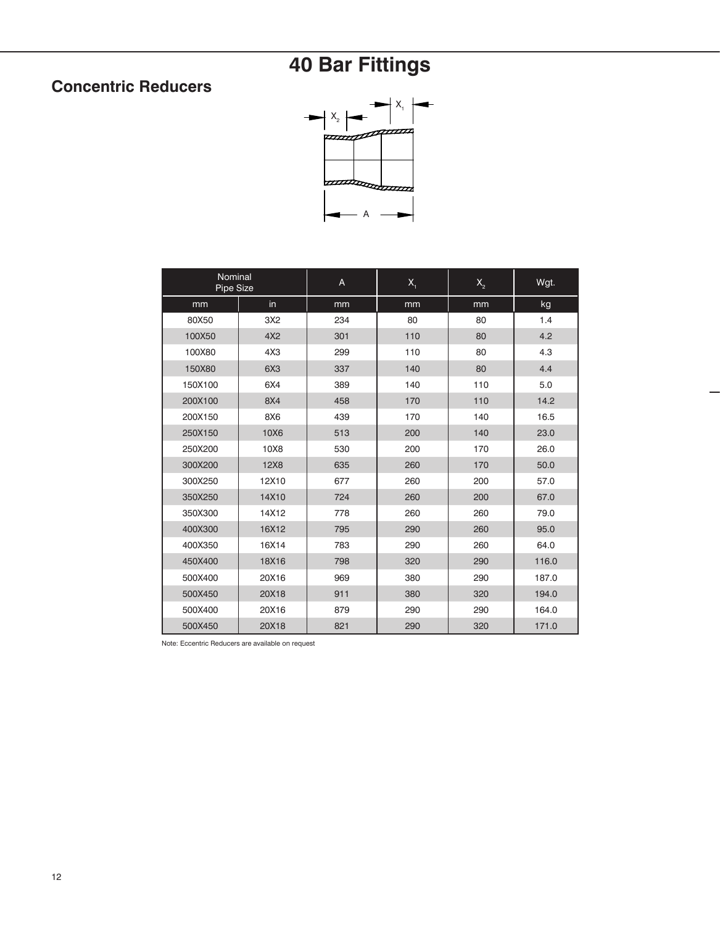### **Concentric Reducers**



| Nominal<br>Pipe Size |                 | A   | X <sub>1</sub> | $\mathsf{X}_{\scriptscriptstyle{2}}$ | Wgt.  |
|----------------------|-----------------|-----|----------------|--------------------------------------|-------|
| mm                   | in              | mm  | mm             | mm                                   | kg    |
| 80X50                | 3X2             | 234 | 80             | 80                                   | 1.4   |
| 100X50               | 4X2             | 301 | 110            | 80                                   | 4.2   |
| 100X80               | 4X3             | 299 | 110            | 80                                   | 4.3   |
| 150X80               | 6X3             | 337 | 140            | 80                                   | 4.4   |
| 150X100              | 6X4             | 389 | 140            | 110                                  | 5.0   |
| 200X100              | 8X4             | 458 | 170            | 110                                  | 14.2  |
| 200X150              | 8X <sub>6</sub> | 439 | 170            | 140                                  | 16.5  |
| 250X150              | 10X6            | 513 | 200            | 140                                  | 23.0  |
| 250X200              | 10X8            | 530 | 200            | 170                                  | 26.0  |
| 300X200              | <b>12X8</b>     | 635 | 260            | 170                                  | 50.0  |
| 300X250              | 12X10           | 677 | 260            | 200                                  | 57.0  |
| 350X250              | 14X10           | 724 | 260            | 200                                  | 67.0  |
| 350X300              | 14X12           | 778 | 260            | 260                                  | 79.0  |
| 400X300              | 16X12           | 795 | 290            | 260                                  | 95.0  |
| 400X350              | 16X14           | 783 | 290            | 260                                  | 64.0  |
| 450X400              | 18X16           | 798 | 320            | 290                                  | 116.0 |
| 500X400              | 20X16           | 969 | 380            | 290                                  | 187.0 |
| 500X450              | 20X18           | 911 | 380            | 320                                  | 194.0 |
| 500X400              | 20X16           | 879 | 290            | 290                                  | 164.0 |
| 500X450              | 20X18           | 821 | 290            | 320                                  | 171.0 |

Note: Eccentric Reducers are available on request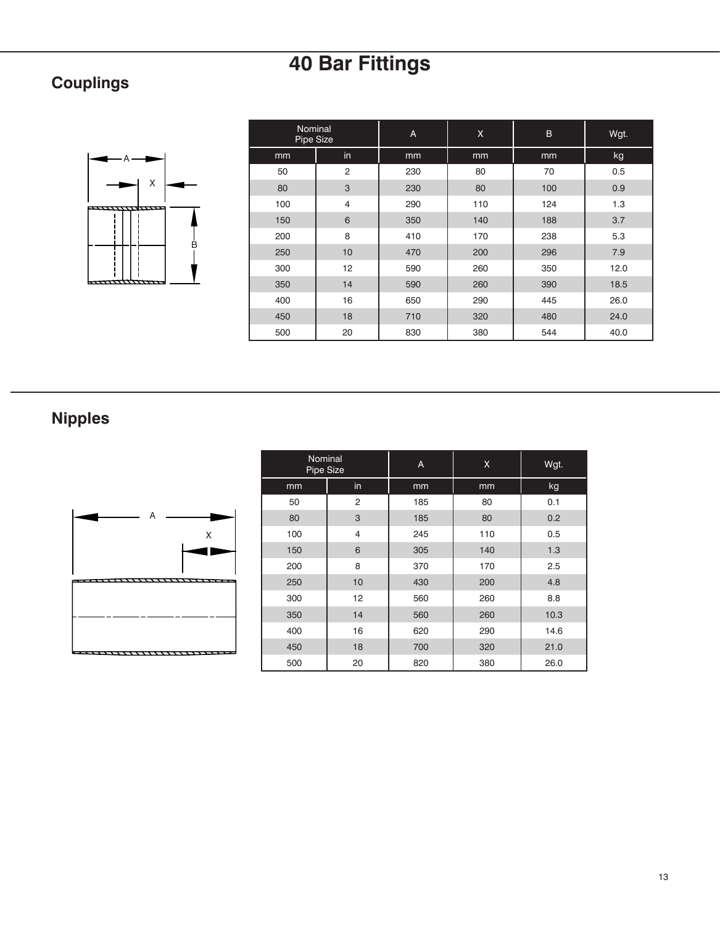## **Couplings**



| Nominal<br>Pipe Size |                | A   | X   | $\overline{B}$ | Wgt. |
|----------------------|----------------|-----|-----|----------------|------|
| mm                   | in             | mm  | mm  | mm             | kg   |
| 50                   | $\overline{2}$ | 230 | 80  | 70             | 0.5  |
| 80                   | 3              | 230 | 80  | 100            | 0.9  |
| 100                  | $\overline{4}$ | 290 | 110 | 124            | 1.3  |
| 150                  | 6              | 350 | 140 | 188            | 3.7  |
| 200                  | 8              | 410 | 170 | 238            | 5.3  |
| 250                  | 10             | 470 | 200 | 296            | 7.9  |
| 300                  | 12             | 590 | 260 | 350            | 12.0 |
| 350                  | 14             | 590 | 260 | 390            | 18.5 |
| 400                  | 16             | 650 | 290 | 445            | 26.0 |
| 450                  | 18             | 710 | 320 | 480            | 24.0 |
| 500                  | 20             | 830 | 380 | 544            | 40.0 |

## **Nipples**



| Nominal<br>Pipe Size |    | A   | X   | Wgt. |
|----------------------|----|-----|-----|------|
| mm                   | in | mm  | mm  | kg   |
| 50                   | 2  | 185 | 80  | 0.1  |
| 80                   | 3  | 185 | 80  | 0.2  |
| 100                  | 4  | 245 | 110 | 0.5  |
| 150                  | 6  | 305 | 140 | 1.3  |
| 200                  | 8  | 370 | 170 | 2.5  |
| 250                  | 10 | 430 | 200 | 4.8  |
| 300                  | 12 | 560 | 260 | 8.8  |
| 350                  | 14 | 560 | 260 | 10.3 |
| 400                  | 16 | 620 | 290 | 14.6 |
| 450                  | 18 | 700 | 320 | 21.0 |
| 500                  | 20 | 820 | 380 | 26.0 |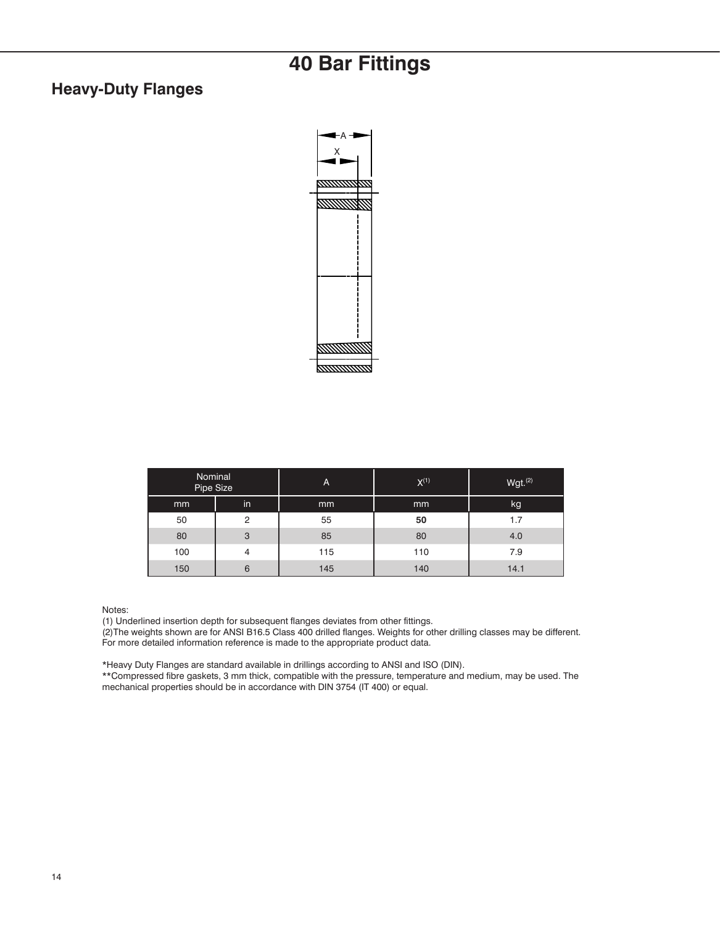#### **Heavy-Duty Flanges**



| Nominal<br>Pipe Size |    | A   | $X^{(1)}$ | $Wgt.$ $(2)$ |
|----------------------|----|-----|-----------|--------------|
| mm                   | in | mm  | mm        | kg           |
| 50                   | 2  | 55  | 50        | 1.7          |
| 80                   | 3  | 85  | 80        | 4.0          |
| 100                  | 4  | 115 | 110       | 7.9          |
| 150                  | 6  | 145 | 140       | 14.1         |

Notes:

(1) Underlined insertion depth for subsequent flanges deviates from other fittings.

(2)The weights shown are for ANSI B16.5 Class 400 drilled flanges. Weights for other drilling classes may be different. For more detailed information reference is made to the appropriate product data.

\*Heavy Duty Flanges are standard available in drillings according to ANSI and ISO (DIN).

\*\*Compressed fibre gaskets, 3 mm thick, compatible with the pressure, temperature and medium, may be used. The mechanical properties should be in accordance with DIN 3754 (IT 400) or equal.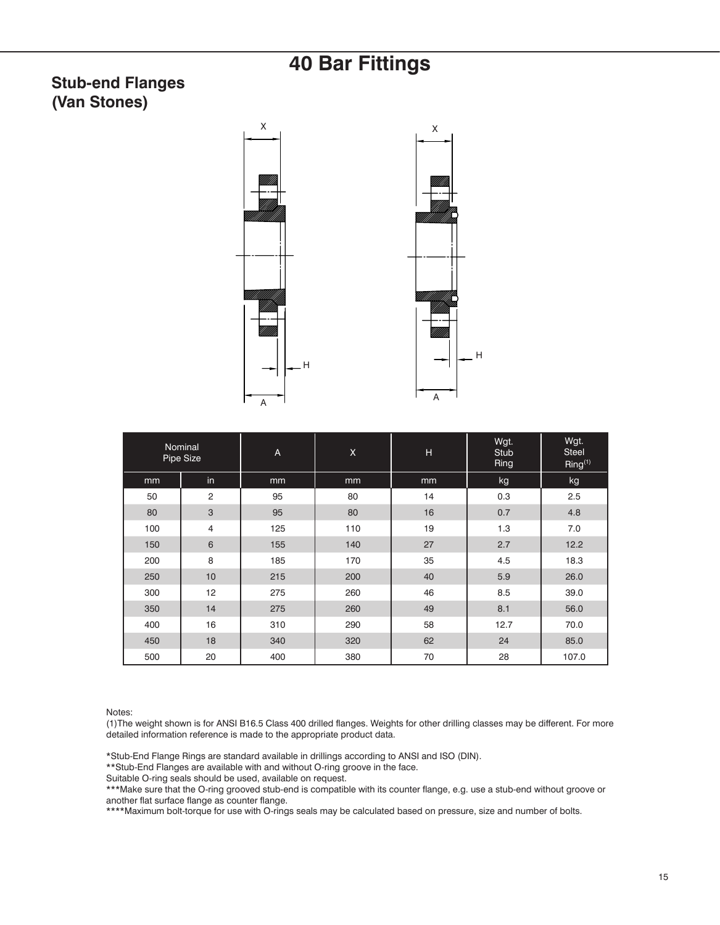#### **Stub-end Flanges (Van Stones)**





|     | Nominal<br>Pipe Size | A   | $\mathsf X$ | H  | Wgt.<br><b>Stub</b><br>Ring | Wgt.<br>Steel<br>Ring <sup>(1)</sup> |
|-----|----------------------|-----|-------------|----|-----------------------------|--------------------------------------|
| mm  | in                   | mm  | mm          | mm | kg                          | kg                                   |
| 50  | 2                    | 95  | 80          | 14 | 0.3                         | 2.5                                  |
| 80  | 3                    | 95  | 80          | 16 | 0.7                         | 4.8                                  |
| 100 | 4                    | 125 | 110         | 19 | 1.3                         | 7.0                                  |
| 150 | 6                    | 155 | 140         | 27 | 2.7                         | 12.2                                 |
| 200 | 8                    | 185 | 170         | 35 | 4.5                         | 18.3                                 |
| 250 | 10                   | 215 | 200         | 40 | 5.9                         | 26.0                                 |
| 300 | 12                   | 275 | 260         | 46 | 8.5                         | 39.0                                 |
| 350 | 14                   | 275 | 260         | 49 | 8.1                         | 56.0                                 |
| 400 | 16                   | 310 | 290         | 58 | 12.7                        | 70.0                                 |
| 450 | 18                   | 340 | 320         | 62 | 24                          | 85.0                                 |
| 500 | 20                   | 400 | 380         | 70 | 28                          | 107.0                                |

Notes:

(1)The weight shown is for ANSI B16.5 Class 400 drilled flanges. Weights for other drilling classes may be different. For more detailed information reference is made to the appropriate product data.

\*Stub-End Flange Rings are standard available in drillings according to ANSI and ISO (DIN).

\*\*Stub-End Flanges are available with and without O-ring groove in the face.

Suitable O-ring seals should be used, available on request.

\*\*\*Make sure that the O-ring grooved stub-end is compatible with its counter flange, e.g. use a stub-end without groove or another flat surface flange as counter flange.

\*\*\*\*Maximum bolt-torque for use with O-rings seals may be calculated based on pressure, size and number of bolts.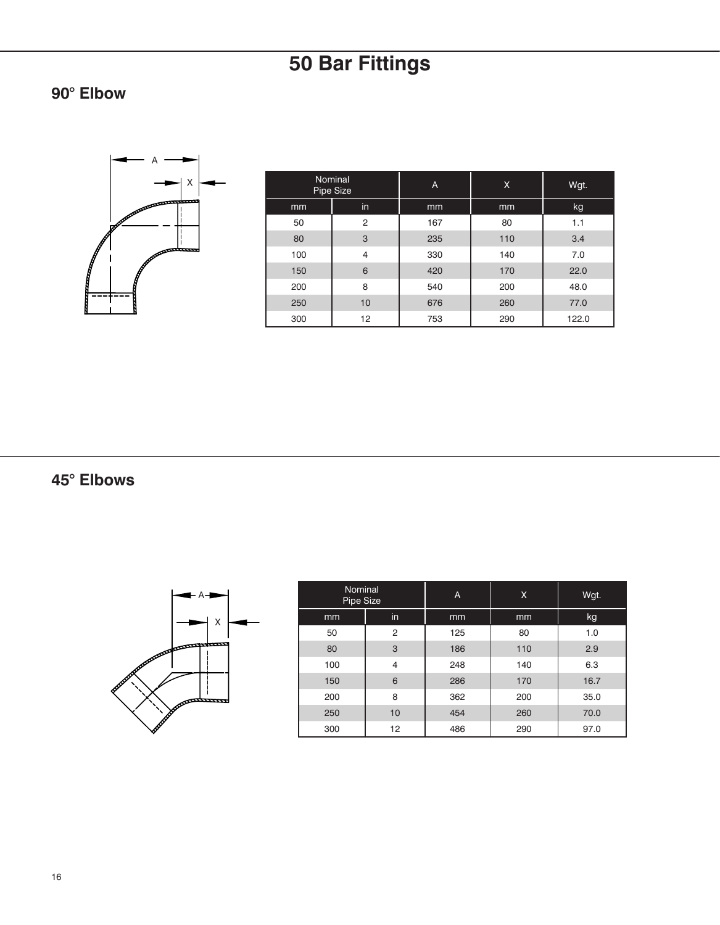**90° Elbow**



| Nominal<br>Pipe Size |                | A   | X   | Wgt.  |
|----------------------|----------------|-----|-----|-------|
| mm                   | in             | mm  | mm  | kg    |
| 50                   | 2              | 167 | 80  | 1.1   |
| 80                   | 3              | 235 | 110 | 3.4   |
| 100                  | $\overline{4}$ | 330 | 140 | 7.0   |
| 150                  | 6              | 420 | 170 | 22.0  |
| 200                  | 8              | 540 | 200 | 48.0  |
| 250                  | 10             | 676 | 260 | 77.0  |
| 300                  | 12             | 753 | 290 | 122.0 |

**45° Elbows**

A X

| Nominal<br>Pipe Size |    | A   | X   | Wgt. |
|----------------------|----|-----|-----|------|
| mm                   | in | mm  | mm  | kg   |
| 50                   | 2  | 125 | 80  | 1.0  |
| 80                   | 3  | 186 | 110 | 2.9  |
| 100                  | 4  | 248 | 140 | 6.3  |
| 150                  | 6  | 286 | 170 | 16.7 |
| 200                  | 8  | 362 | 200 | 35.0 |
| 250                  | 10 | 454 | 260 | 70.0 |
| 300                  | 12 | 486 | 290 | 97.0 |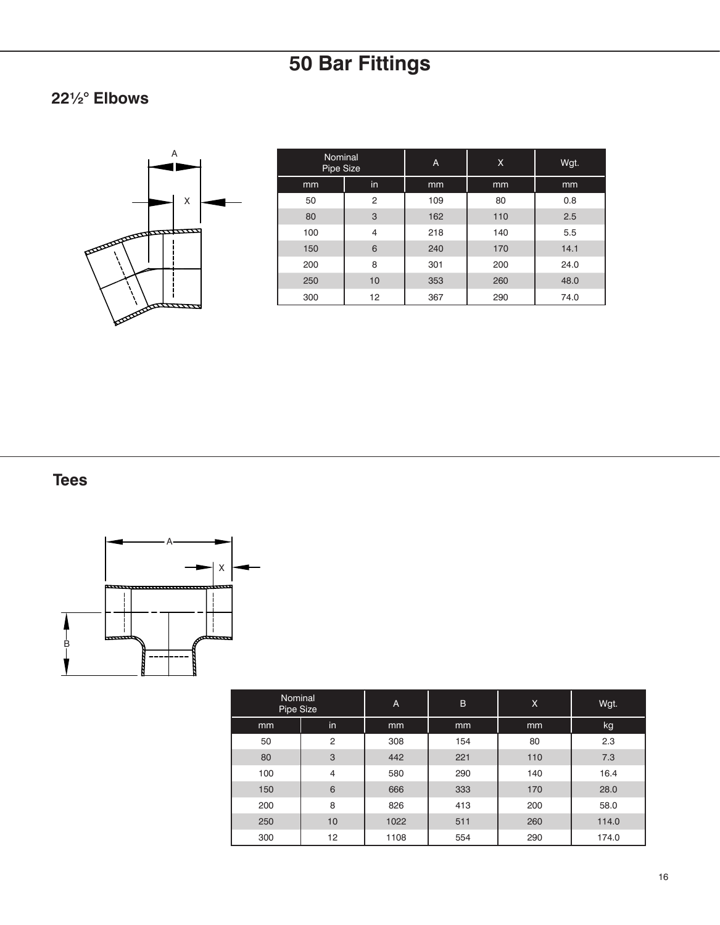### **22½° Elbows**



| <b>Nominal</b><br>Pipe Size |    | A   | X   | Wgt. |
|-----------------------------|----|-----|-----|------|
| mm                          | in | mm  | mm  | mm   |
| 50                          | 2  | 109 | 80  | 0.8  |
| 80                          | 3  | 162 | 110 | 2.5  |
| 100                         | 4  | 218 | 140 | 5.5  |
| 150                         | 6  | 240 | 170 | 14.1 |
| 200                         | 8  | 301 | 200 | 24.0 |
| 250                         | 10 | 353 | 260 | 48.0 |
| 300                         | 12 | 367 | 290 | 74.0 |

**Tees**



| Nominal<br>Pipe Size |                | A    | B   | X   | Wgt.  |
|----------------------|----------------|------|-----|-----|-------|
| mm                   | in             | mm   | mm  | mm  | kg    |
| 50                   | $\overline{2}$ | 308  | 154 | 80  | 2.3   |
| 80                   | 3              | 442  | 221 | 110 | 7.3   |
| 100                  | 4              | 580  | 290 | 140 | 16.4  |
| 150                  | 6              | 666  | 333 | 170 | 28.0  |
| 200                  | 8              | 826  | 413 | 200 | 58.0  |
| 250                  | 10             | 1022 | 511 | 260 | 114.0 |
| 300                  | 12             | 1108 | 554 | 290 | 174.0 |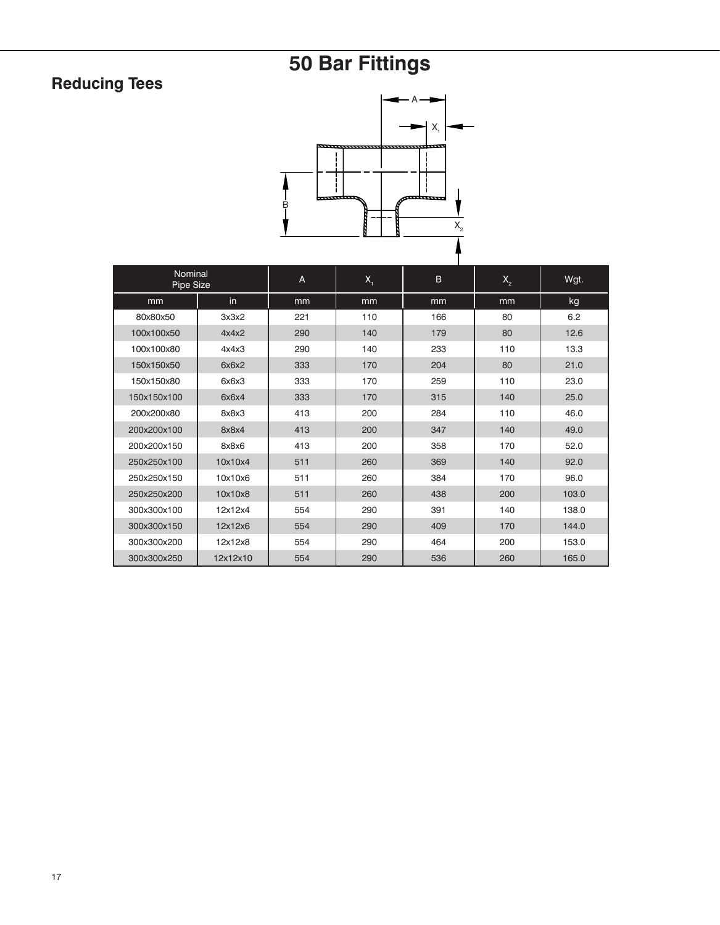## **Reducing Tees**



| Nominal<br>Pipe Size |          | A   | X <sub>1</sub> | B.  | $X_{2}$ | Wgt.  |
|----------------------|----------|-----|----------------|-----|---------|-------|
| mm                   | in       | mm  | mm             | mm  | mm      | kg    |
| 80x80x50             | 3x3x2    | 221 | 110            | 166 | 80      | 6.2   |
| 100x100x50           | 4x4x2    | 290 | 140            | 179 | 80      | 12.6  |
| 100x100x80           | 4x4x3    | 290 | 140            | 233 | 110     | 13.3  |
| 150x150x50           | 6x6x2    | 333 | 170            | 204 | 80      | 21.0  |
| 150x150x80           | 6x6x3    | 333 | 170            | 259 | 110     | 23.0  |
| 150x150x100          | 6x6x4    | 333 | 170            | 315 | 140     | 25.0  |
| 200x200x80           | 8x8x3    | 413 | 200            | 284 | 110     | 46.0  |
| 200x200x100          | 8x8x4    | 413 | 200            | 347 | 140     | 49.0  |
| 200x200x150          | 8x8x6    | 413 | 200            | 358 | 170     | 52.0  |
| 250x250x100          | 10x10x4  | 511 | 260            | 369 | 140     | 92.0  |
| 250x250x150          | 10x10x6  | 511 | 260            | 384 | 170     | 96.0  |
| 250x250x200          | 10x10x8  | 511 | 260            | 438 | 200     | 103.0 |
| 300x300x100          | 12x12x4  | 554 | 290            | 391 | 140     | 138.0 |
| 300x300x150          | 12x12x6  | 554 | 290            | 409 | 170     | 144.0 |
| 300x300x200          | 12x12x8  | 554 | 290            | 464 | 200     | 153.0 |
| 300x300x250          | 12x12x10 | 554 | 290            | 536 | 260     | 165.0 |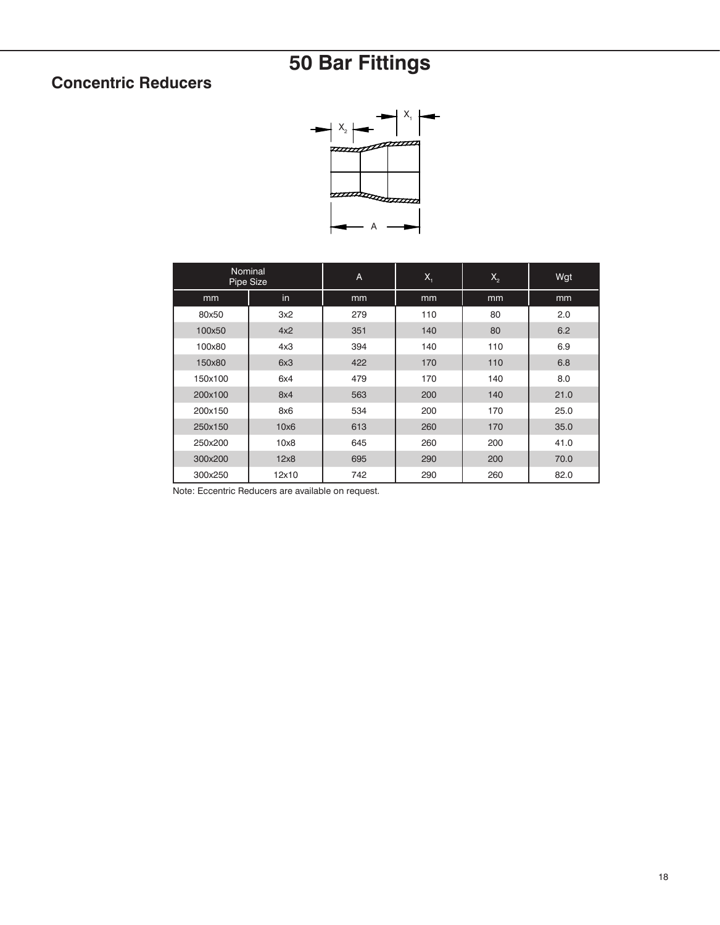### **Concentric Reducers**



| Nominal<br>Pipe Size |       | A   | $X_{1}$ | $X_{2}$ | Wgt  |
|----------------------|-------|-----|---------|---------|------|
| mm                   | in.   | mm  | mm      | mm      | mm   |
| 80x50                | 3x2   | 279 | 110     | 80      | 2.0  |
| 100x50               | 4x2   | 351 | 140     | 80      | 6.2  |
| 100x80               | 4x3   | 394 | 140     | 110     | 6.9  |
| 150x80               | 6x3   | 422 | 170     | 110     | 6.8  |
| 150x100              | 6x4   | 479 | 170     | 140     | 8.0  |
| 200x100              | 8x4   | 563 | 200     | 140     | 21.0 |
| 200x150              | 8x6   | 534 | 200     | 170     | 25.0 |
| 250x150              | 10x6  | 613 | 260     | 170     | 35.0 |
| 250x200              | 10x8  | 645 | 260     | 200     | 41.0 |
| 300x200              | 12x8  | 695 | 290     | 200     | 70.0 |
| 300x250              | 12x10 | 742 | 290     | 260     | 82.0 |

Note: Eccentric Reducers are available on request.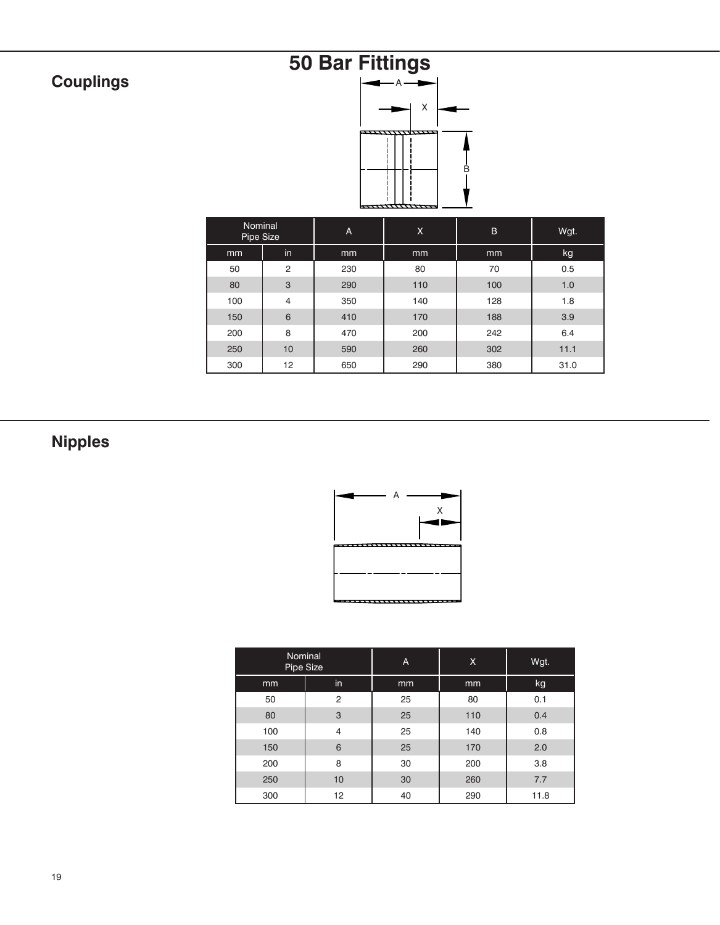## **Couplings**

# **50 Bar Fittings**



| Nominal<br>Pipe Size |                | A   | X   | B   | Wgt. |
|----------------------|----------------|-----|-----|-----|------|
| mm                   | in             | mm  | mm  |     | kg   |
| 50                   | $\overline{2}$ | 230 | 80  | 70  | 0.5  |
| 80                   | 3              | 290 | 110 | 100 | 1.0  |
| 100                  | $\overline{4}$ | 350 | 140 | 128 | 1.8  |
| 150                  | 6              | 410 | 170 | 188 | 3.9  |
| 200                  | 8              | 470 | 200 | 242 | 6.4  |
| 250                  | 10             | 590 | 260 | 302 | 11.1 |
| 300                  | 12             | 650 | 290 | 380 | 31.0 |

## **Nipples**



| Nominal<br>Pipe Size |                | A  | X   | Wgt. |
|----------------------|----------------|----|-----|------|
| mm                   | in             | mm | mm  | kg   |
| 50                   | $\overline{2}$ | 25 | 80  | 0.1  |
| 80                   | 3              | 25 | 110 | 0.4  |
| 100                  | $\overline{4}$ | 25 | 140 | 0.8  |
| 150                  | 6              | 25 | 170 | 2.0  |
| 200                  | 8              | 30 | 200 | 3.8  |
| 250                  | 10             | 30 | 260 | 7.7  |
| 300                  | 12             | 40 | 290 | 11.8 |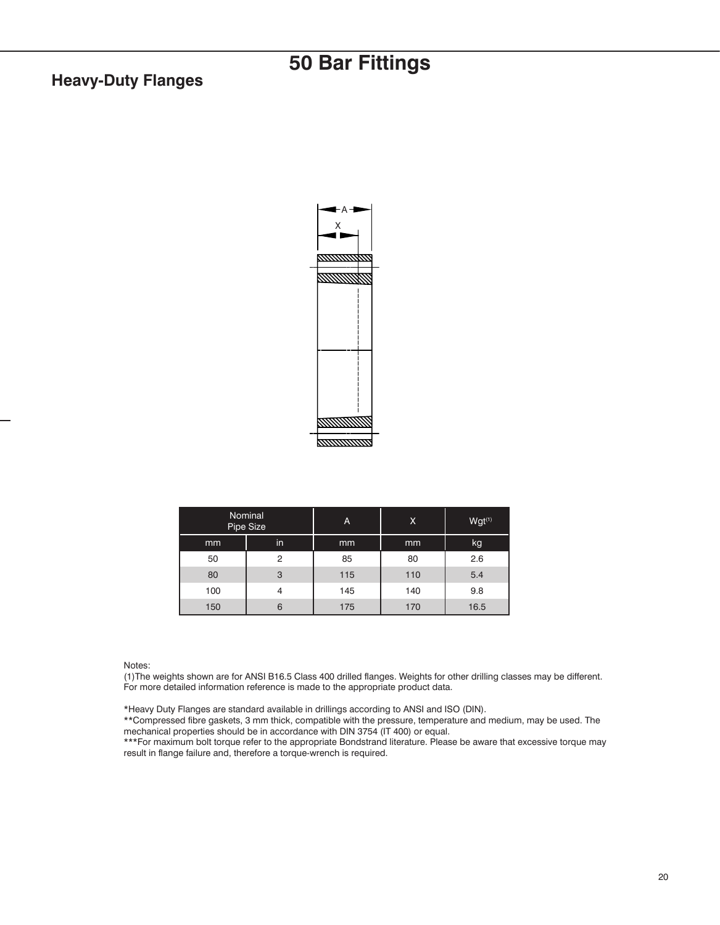#### **Heavy-Duty Flanges**



| Nominal<br>Pipe Size |    | A   | Χ   | $Wgt^{(1)}$ |
|----------------------|----|-----|-----|-------------|
| mm                   | in | mm  | mm  | kg.         |
| 50                   | 2  | 85  | 80  | 2.6         |
| 80                   | 3  | 115 | 110 | 5.4         |
| 100                  | 4  | 145 | 140 | 9.8         |
| 150                  | 6  | 175 | 170 | 16.5        |

#### Notes:

(1)The weights shown are for ANSI B16.5 Class 400 drilled flanges. Weights for other drilling classes may be different. For more detailed information reference is made to the appropriate product data.

\*Heavy Duty Flanges are standard available in drillings according to ANSI and ISO (DIN).

\*\*Compressed fibre gaskets, 3 mm thick, compatible with the pressure, temperature and medium, may be used. The mechanical properties should be in accordance with DIN 3754 (IT 400) or equal.

\*\*\*For maximum bolt torque refer to the appropriate Bondstrand literature. Please be aware that excessive torque may result in flange failure and, therefore a torque-wrench is required.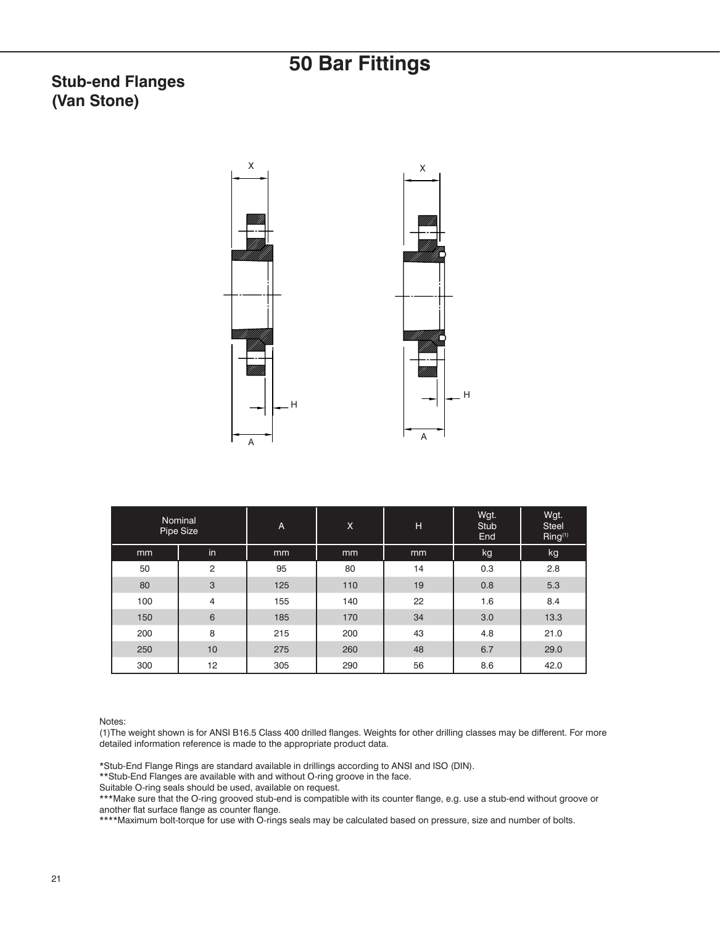#### **Stub-end Flanges (Van Stone)**



|     | Nominal<br>Pipe Size | A   | X   | н  | Wgt.<br>Stub<br>End | Wgt.<br><b>Steel</b><br>Ring <sup>(1)</sup> |
|-----|----------------------|-----|-----|----|---------------------|---------------------------------------------|
| mm  | in                   | mm  | mm  | mm | kg                  | kg                                          |
| 50  | $\overline{2}$       | 95  | 80  | 14 | 0.3                 | 2.8                                         |
| 80  | 3                    | 125 | 110 | 19 | 0.8                 | 5.3                                         |
| 100 | $\overline{4}$       | 155 | 140 | 22 | 1.6                 | 8.4                                         |
| 150 | 6                    | 185 | 170 | 34 | 3.0                 | 13.3                                        |
| 200 | 8                    | 215 | 200 | 43 | 4.8                 | 21.0                                        |
| 250 | 10                   | 275 | 260 | 48 | 6.7                 | 29.0                                        |
| 300 | 12                   | 305 | 290 | 56 | 8.6                 | 42.0                                        |

Notes:

(1)The weight shown is for ANSI B16.5 Class 400 drilled flanges. Weights for other drilling classes may be different. For more detailed information reference is made to the appropriate product data.

\*Stub-End Flange Rings are standard available in drillings according to ANSI and ISO (DIN).

\*\*Stub-End Flanges are available with and without O-ring groove in the face.

Suitable O-ring seals should be used, available on request.

\*\*\*Make sure that the O-ring grooved stub-end is compatible with its counter flange, e.g. use a stub-end without groove or another flat surface flange as counter flange.

\*\*\*\*Maximum bolt-torque for use with O-rings seals may be calculated based on pressure, size and number of bolts.